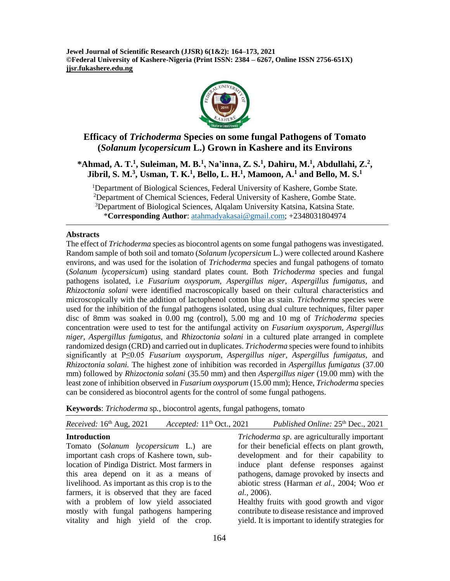**Jewel Journal of Scientific Research (JJSR) 6(1&2): 164–173, 2021 ©Federal University of Kashere-Nigeria (Print ISSN: 2384 – 6267, Online ISSN 2756-651X) jjsr.fukashere.edu.ng**



## **Efficacy of** *Trichoderma* **Species on some fungal Pathogens of Tomato (***Solanum lycopersicum* **L.) Grown in Kashere and its Environs**

## **\*Ahmad, A. T.<sup>1</sup> , Suleiman, M. B.<sup>1</sup> , Na'inna, Z. S.<sup>1</sup> , Dahiru, M.<sup>1</sup> , Abdullahi, Z.<sup>2</sup> , Jibril, S. M.<sup>3</sup> , Usman, T. K.<sup>1</sup> , Bello, L. H.<sup>1</sup> , Mamoon, A.<sup>1</sup> and Bello, M. S.<sup>1</sup>**

<sup>1</sup>Department of Biological Sciences, Federal University of Kashere, Gombe State. <sup>2</sup>Department of Chemical Sciences, Federal University of Kashere, Gombe State. <sup>3</sup>Department of Biological Sciences, Alqalam University Katsina, Katsina State. \***Corresponding Author**: [atahmadyakasai@gmail.com;](mailto:atahmadyakasai@gmail.com) +2348031804974

### **Abstracts**

The effect of *Trichoderma* species as biocontrol agents on some fungal pathogens was investigated. Random sample of both soil and tomato (*Solanum lycopersicum* L.) were collected around Kashere environs, and was used for the isolation of *Trichoderma* species and fungal pathogens of tomato (*Solanum lycopersicum*) using standard plates count. Both *Trichoderma* species and fungal pathogens isolated, i.e *Fusarium oxysporum, Aspergillus niger, Aspergillus fumigatus,* and *Rhizoctonia solani* were identified macroscopically based on their cultural characteristics and microscopically with the addition of lactophenol cotton blue as stain. *Trichoderma* species were used for the inhibition of the fungal pathogens isolated, using dual culture techniques, filter paper disc of 8mm was soaked in 0.00 mg (control), 5.00 mg and 10 mg of *Trichoderma* species concentration were used to test for the antifungal activity on *Fusarium oxysporum, Aspergillus niger, Aspergillus fumigatus,* and *Rhizoctonia solani* in a cultured plate arranged in complete randomized design (CRD) and carried out in duplicates. *Trichoderma* species were found to inhibits significantly at P≤0.05 *Fusarium oxysporum, Aspergillus niger, Aspergillus fumigatus,* and *Rhizoctonia solani.* The highest zone of inhibition was recorded in *Aspergillus fumigatus* (37.00 mm) followed by *Rhizoctonia solani* (35.50 mm) and then *Aspergillus niger* (19.00 mm) with the least zone of inhibition observed in *Fusarium oxysporum* (15.00 mm); Hence, *Trichoderma* species can be considered as biocontrol agents for the control of some fungal pathogens.

**Keywords**: *Trichoderma* sp*.,* biocontrol agents, fungal pathogens, tomato

| Accepted: $11th$ Oct., 2021<br>Received: 16th Aug, 2021 | Published Online: 25 <sup>th</sup> Dec., 2021       |
|---------------------------------------------------------|-----------------------------------------------------|
| <b>Introduction</b>                                     | <i>Trichoderma sp.</i> are agriculturally important |
| Tomato (Solanum lycopersicum L.) are                    | for their beneficial effects on plant growth,       |
| important cash crops of Kashere town, sub-              | development and for their capability to             |
| location of Pindiga District. Most farmers in           | induce plant defense responses against              |
| this area depend on it as a means of                    | pathogens, damage provoked by insects and           |
| livelihood. As important as this crop is to the         | abiotic stress (Harman et al., 2004; Woo et         |
| farmers, it is observed that they are faced             | <i>al.</i> , 2006).                                 |
| with a problem of low yield associated                  | Healthy fruits with good growth and vigor           |
| mostly with fungal pathogens hampering                  | contribute to disease resistance and improved       |
| vitality and high yield of the crop.                    | yield. It is important to identify strategies for   |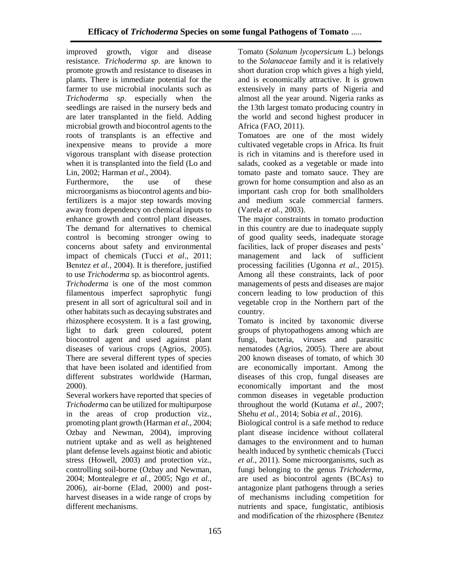improved growth, vigor and disease resistance. *Trichoderma sp*. are known to promote growth and resistance to diseases in plants. There is immediate potential for the farmer to use microbial inoculants such as *Trichoderma sp*. especially when the seedlings are raised in the nursery beds and are later transplanted in the field. Adding microbial growth and biocontrol agents to the roots of transplants is an effective and inexpensive means to provide a more vigorous transplant with disease protection when it is transplanted into the field (Lo and Lin, 2002; Harman *et al*., 2004).

Furthermore, the use of these microorganisms as biocontrol agents and biofertilizers is a major step towards moving away from dependency on chemical inputs to enhance growth and control plant diseases. The demand for alternatives to chemical control is becoming stronger owing to concerns about safety and environmental impact of chemicals (Tucci *et al.,* 2011; Benıtez *et al.,* 2004). It is therefore, justified to use *Trichoderma* sp. as biocontrol agents. *Trichoderma* is one of the most common filamentous imperfect saprophytic fungi present in all sort of agricultural soil and in other habitats such as decaying substrates and rhizosphere ecosystem. It is a fast growing, light to dark green coloured, potent biocontrol agent and used against plant diseases of various crops (Agrios, 2005). There are several different types of species that have been isolated and identified from different substrates worldwide (Harman, 2000).

Several workers have reported that species of *Trichoderma* can be utilized for multipurpose in the areas of crop production viz., promoting plant growth (Harman *et al.,* 2004; Ozbay and Newman, 2004), improving nutrient uptake and as well as heightened plant defense levels against biotic and abiotic stress (Howell, 2003) and protection viz., controlling soil-borne (Ozbay and Newman, 2004; Montealegre *et al.,* 2005; Ngo *et al.,*  2006), air-borne (Elad, 2000) and postharvest diseases in a wide range of crops by different mechanisms.

Tomato (*Solanum lycopersicum* L.) belongs to the *Solanaceae* family and it is relatively short duration crop which gives a high yield, and is economically attractive. It is grown extensively in many parts of Nigeria and almost all the year around. Nigeria ranks as the 13th largest tomato producing country in the world and second highest producer in Africa (FAO, 2011).

Tomatoes are one of the most widely cultivated vegetable crops in Africa. Its fruit is rich in vitamins and is therefore used in salads, cooked as a vegetable or made into tomato paste and tomato sauce. They are grown for home consumption and also as an important cash crop for both smallholders and medium scale commercial farmers. (Varela *et al.,* 2003).

The major constraints in tomato production in this country are due to inadequate supply of good quality seeds, inadequate storage facilities, lack of proper diseases and pests' management and lack of sufficient processing facilities (Ugonna *et al.,* 2015). Among all these constraints, lack of poor managements of pests and diseases are major concern leading to low production of this vegetable crop in the Northern part of the country.

Tomato is incited by taxonomic diverse groups of phytopathogens among which are fungi, bacteria, viruses and parasitic nematodes (Agrios, 2005). There are about 200 known diseases of tomato, of which 30 are economically important. Among the diseases of this crop, fungal diseases are economically important and the most common diseases in vegetable production throughout the world (Kutama *et al.,* 2007; Shehu *et al.,* 2014; Sobia *et al.,* 2016).

Biological control is a safe method to reduce plant disease incidence without collateral damages to the environment and to human health induced by synthetic chemicals (Tucci *et al.,* 2011). Some microorganisms, such as fungi belonging to the genus *Trichoderma,* are used as biocontrol agents (BCAs) to antagonize plant pathogens through a series of mechanisms including competition for nutrients and space, fungistatic, antibiosis and modification of the rhizosphere (Benıtez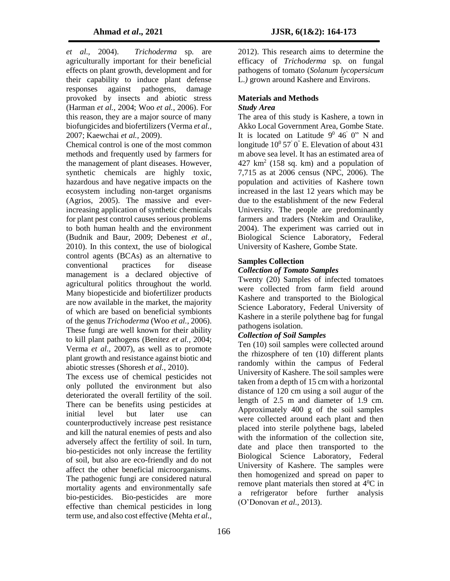*et al.,* 2004). *Trichoderma* sp*.* are agriculturally important for their beneficial effects on plant growth, development and for their capability to induce plant defense responses against pathogens, damage provoked by insects and abiotic stress (Harman *et al.,* 2004; Woo *et al.*, 2006). For this reason, they are a major source of many biofungicides and biofertilizers (Verma *et al.,* 2007; Kaewchai *et al.,* 2009).

Chemical control is one of the most common methods and frequently used by farmers for the management of plant diseases. However, synthetic chemicals are highly toxic, hazardous and have negative impacts on the ecosystem including non-target organisms (Agrios, 2005). The massive and everincreasing application of synthetic chemicals for plant pest control causes serious problems to both human health and the environment (Budnik and Baur, 2009; Debenest *et al.,* 2010). In this context, the use of biological control agents (BCAs) as an alternative to conventional practices for disease management is a declared objective of agricultural politics throughout the world. Many biopesticide and biofertilizer products are now available in the market, the majority of which are based on beneficial symbionts of the genus *Trichoderma* (Woo *et al.,* 2006). These fungi are well known for their ability to kill plant pathogens (Benitez *et al.,* 2004; Verma *et al.,* 2007), as well as to promote plant growth and resistance against biotic and abiotic stresses (Shoresh *et al.,* 2010).

The excess use of chemical pesticides not only polluted the environment but also deteriorated the overall fertility of the soil. There can be benefits using pesticides at initial level but later use can counterproductively increase pest resistance and kill the natural enemies of pests and also adversely affect the fertility of soil. In turn, bio-pesticides not only increase the fertility of soil, but also are eco-friendly and do not affect the other beneficial microorganisms. The pathogenic fungi are considered natural mortality agents and environmentally safe bio-pesticides. Bio-pesticides are more effective than chemical pesticides in long term use, and also cost effective (Mehta *et al.*,

2012). This research aims to determine the efficacy of *Trichoderma* sp*.* on fungal pathogens of tomato (*Solanum lycopersicum*  L.*)* grown around Kashere and Environs.

# **Materials and Methods**

### *Study Area*

The area of this study is Kashere, a town in Akko Local Government Area, Gombe State. It is located on Latitude  $9^0$  46' 0" N and longitude  $10^0$  57' 0" E. Elevation of about 431 m above sea level. It has an estimated area of  $427 \text{ km}^2$  (158 sq. km) and a population of 7,715 as at 2006 census (NPC, 2006). The population and activities of Kashere town increased in the last 12 years which may be due to the establishment of the new Federal University. The people are predominantly farmers and traders (Ntekim and Oraulike, 2004). The experiment was carried out in Biological Science Laboratory, Federal University of Kashere, Gombe State.

## **Samples Collection**

### *Collection of Tomato Samples*

Twenty (20) Samples of infected tomatoes were collected from farm field around Kashere and transported to the Biological Science Laboratory, Federal University of Kashere in a sterile polythene bag for fungal pathogens isolation.

#### *Collection of Soil Samples*

Ten (10) soil samples were collected around the rhizosphere of ten (10) different plants randomly within the campus of Federal University of Kashere. The soil samples were taken from a depth of 15 cm with a horizontal distance of 120 cm using a soil augur of the length of 2.5 m and diameter of 1.9 cm. Approximately 400 g of the soil samples were collected around each plant and then placed into sterile polythene bags, labeled with the information of the collection site. date and place then transported to the Biological Science Laboratory, Federal University of Kashere. The samples were then homogenized and spread on paper to remove plant materials then stored at 4<sup>0</sup>C in a refrigerator before further analysis (O'Donovan *et al.,* 2013).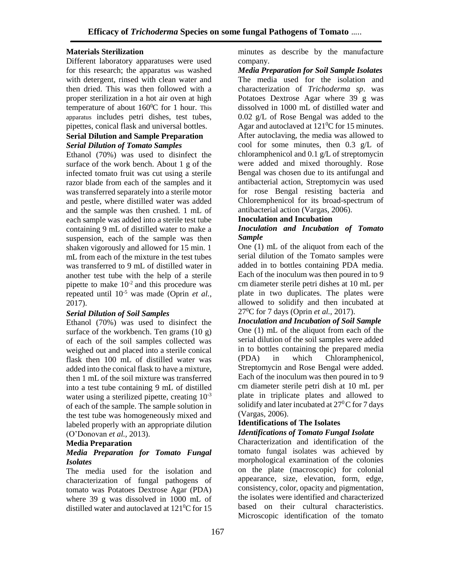#### **Materials Sterilization**

Different laboratory apparatuses were used for this research; the apparatus was washed with detergent, rinsed with clean water and then dried. This was then followed with a proper sterilization in a hot air oven at high temperature of about  $160^0C$  for 1 hour. This apparatus includes petri dishes, test tubes, pipettes, conical flask and universal bottles.

## **Serial Dilution and Sample Preparation** *Serial Dilution of Tomato Samples*

Ethanol (70%) was used to disinfect the surface of the work bench. About 1 g of the infected tomato fruit was cut using a sterile razor blade from each of the samples and it was transferred separately into a sterile motor and pestle, where distilled water was added and the sample was then crushed. 1 mL of each sample was added into a sterile test tube containing 9 mL of distilled water to make a suspension, each of the sample was then shaken vigorously and allowed for 15 min. 1 mL from each of the mixture in the test tubes was transferred to 9 mL of distilled water in another test tube with the help of a sterile pipette to make  $10^{-2}$  and this procedure was repeated until 10-5 was made (Oprin *et al.,* 2017).

## *Serial Dilution of Soil Samples*

Ethanol (70%) was used to disinfect the surface of the workbench. Ten grams  $(10 g)$ of each of the soil samples collected was weighed out and placed into a sterile conical flask then 100 mL of distilled water was added into the conical flask to have a mixture, then 1 mL of the soil mixture was transferred into a test tube containing 9 mL of distilled water using a sterilized pipette, creating  $10^{-3}$ of each of the sample. The sample solution in the test tube was homogeneously mixed and labeled properly with an appropriate dilution (O'Donovan *et al.,* 2013).

### **Media Preparation**

#### *Media Preparation for Tomato Fungal Isolates*

The media used for the isolation and characterization of fungal pathogens of tomato was Potatoes Dextrose Agar (PDA) where 39 g was dissolved in 1000 mL of distilled water and autoclaved at  $121\textdegree$ C for 15

minutes as describe by the manufacture company.

*Media Preparation for Soil Sample Isolates* The media used for the isolation and characterization of *Trichoderma sp*. was Potatoes Dextrose Agar where 39 g was dissolved in 1000 mL of distilled water and 0.02 g/L of Rose Bengal was added to the Agar and autoclaved at  $121\textdegree$ C for 15 minutes. After autoclaving, the media was allowed to cool for some minutes, then 0.3 g/L of chloramphenicol and 0.1 g/L of streptomycin were added and mixed thoroughly. Rose Bengal was chosen due to its antifungal and antibacterial action, Streptomycin was used for rose Bengal resisting bacteria and Chloremphenicol for its broad-spectrum of antibacterial action (Vargas, 2006).

#### **Inoculation and Incubation**

#### *Inoculation and Incubation of Tomato Sample*

One (1) mL of the aliquot from each of the serial dilution of the Tomato samples were added in to bottles containing PDA media. Each of the inoculum was then poured in to 9 cm diameter sterile petri dishes at 10 mL per plate in two duplicates. The plates were allowed to solidify and then incubated at 27<sup>0</sup>C for 7 days (Oprin *et al.,* 2017).

*Inoculation and Incubation of Soil Sample* One (1) mL of the aliquot from each of the serial dilution of the soil samples were added in to bottles containing the prepared media (PDA) in which Chloramphenicol, Streptomycin and Rose Bengal were added. Each of the inoculum was then poured in to 9 cm diameter sterile petri dish at 10 mL per plate in triplicate plates and allowed to solidify and later incubated at  $27^{\circ}$ C for 7 days (Vargas, 2006).

## **Identifications of The Isolates**

## *Identifications of Tomato Fungal Isolate*

Characterization and identification of the tomato fungal isolates was achieved by morphological examination of the colonies on the plate (macroscopic) for colonial appearance, size, elevation, form, edge, consistency, color, opacity and pigmentation, the isolates were identified and characterized based on their cultural characteristics. Microscopic identification of the tomato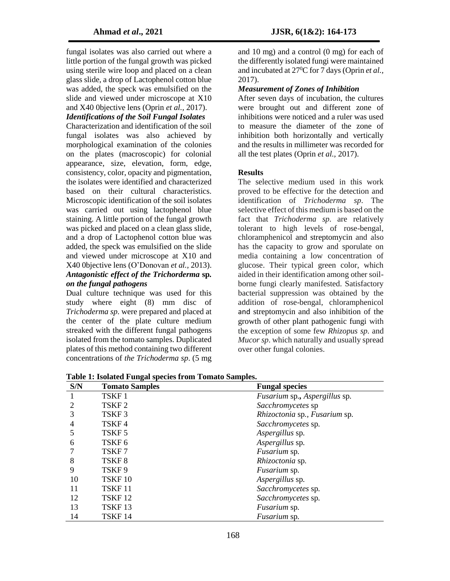fungal isolates was also carried out where a little portion of the fungal growth was picked using sterile wire loop and placed on a clean glass slide, a drop of Lactophenol cotton blue was added, the speck was emulsified on the slide and viewed under microscope at X10 and X40 0bjective lens (Oprin *et al.,* 2017).

## *Identifications of the Soil Fungal Isolates*

Characterization and identification of the soil fungal isolates was also achieved by morphological examination of the colonies on the plates (macroscopic) for colonial appearance, size, elevation, form, edge, consistency, color, opacity and pigmentation, the isolates were identified and characterized based on their cultural characteristics. Microscopic identification of the soil isolates was carried out using lactophenol blue staining. A little portion of the fungal growth was picked and placed on a clean glass slide, and a drop of Lactophenol cotton blue was added, the speck was emulsified on the slide and viewed under microscope at X10 and X40 0bjective lens (O'Donovan *et al.,* 2013). *Antagonistic effect of the Trichorderma* **sp***. on the fungal pathogens* 

Dual culture technique was used for this study where eight (8) mm disc of *Trichoderma sp*. were prepared and placed at the center of the plate culture medium streaked with the different fungal pathogens isolated from the tomato samples. Duplicated plates of this method containing two different concentrations of *the Trichoderma sp*. (5 mg

and 10 mg) and a control (0 mg) for each of the differently isolated fungi were maintained and incubated at 27<sup>0</sup>C for 7 days (Oprin *et al.*, 2017).

## *Measurement of Zones of Inhibition*

After seven days of incubation, the cultures were brought out and different zone of inhibitions were noticed and a ruler was used to measure the diameter of the zone of inhibition both horizontally and vertically and the results in millimeter was recorded for all the test plates (Oprin *et al.,* 2017).

#### **Results**

The selective medium used in this work proved to be effective for the detection and identification of *Trichoderma sp*. The selective effect of this medium is based on the fact that *Trichoderma sp*. are relatively tolerant to high levels of rose-bengal, chloramphenicol and streptomycin and also has the capacity to grow and sporulate on media containing a low concentration of glucose. Their typical green color, which aided in their identification among other soilborne fungi clearly manifested. Satisfactory bacterial suppression was obtained by the addition of rose-bengal, chloramphenicol and streptomycin and also inhibition of the growth of other plant pathogenic fungi with the exception of some few *Rhizopus sp*. and *Mucor sp*. which naturally and usually spread over other fungal colonies.

**Table 1: Isolated Fungal species from Tomato Samples.**

| S/N            | <b>Tomato Samples</b> | <b>Fungal species</b>         |
|----------------|-----------------------|-------------------------------|
| -1             | TSKF1                 | Fusarium sp., Aspergillus sp. |
| 2              | TSKF <sub>2</sub>     | Sacchromycetes sp             |
| 3              | TSKF3                 | Rhizoctonia sp., Fusarium sp. |
| $\overline{4}$ | TSKF4                 | Sacchromycetes sp.            |
| 5              | TSKF <sub>5</sub>     | Aspergillus sp.               |
| 6              | TSKF <sub>6</sub>     | Aspergillus sp.               |
| 7              | TSKF7                 | <i>Fusarium</i> sp.           |
| 8              | TSKF <sub>8</sub>     | Rhizoctonia sp.               |
| 9              | TSKF9                 | <i>Fusarium</i> sp.           |
| 10             | TSKF <sub>10</sub>    | Aspergillus sp.               |
| 11             | TSKF 11               | Sacchromycetes sp.            |
| 12             | TSKF <sub>12</sub>    | Sacchromycetes sp.            |
| 13             | TSKF13                | <i>Fusarium</i> sp.           |
| 14             | TSKF <sub>14</sub>    | <i>Fusarium</i> sp.           |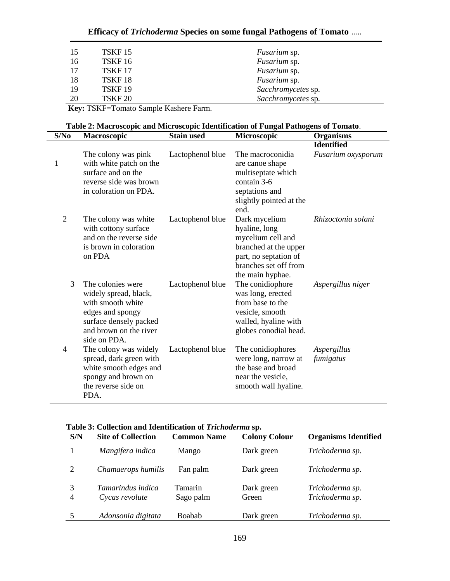# **Efficacy of** *Trichoderma* **Species on some fungal Pathogens of Tomato** …..

| 15 | TSKF 15            | <i>Fusarium</i> sp. |
|----|--------------------|---------------------|
| 16 | TSKF <sub>16</sub> | <i>Fusarium</i> sp. |
| 17 | TSKF <sub>17</sub> | <i>Fusarium</i> sp. |
| 18 | TSKF <sub>18</sub> | <i>Fusarium</i> sp. |
| 19 | TSKF <sub>19</sub> | Sacchromycetes sp.  |
| 20 | TSKF <sub>20</sub> | Sacchromycetes sp.  |
|    |                    |                     |

**Key:** TSKF=Tomato Sample Kashere Farm.

 $\overline{\phantom{a}}$ 

|  |  | Table 2: Macroscopic and Microscopic Identification of Fungal Pathogens of Tomato. |
|--|--|------------------------------------------------------------------------------------|
|  |  |                                                                                    |

| S/No           | <b>Macroscopic</b>                                                                                                                                      | <b>Stain used</b> | Microscopic                                                                                                                                        | <b>Organisms</b>         |
|----------------|---------------------------------------------------------------------------------------------------------------------------------------------------------|-------------------|----------------------------------------------------------------------------------------------------------------------------------------------------|--------------------------|
|                |                                                                                                                                                         |                   |                                                                                                                                                    | <b>Identified</b>        |
| 1              | The colony was pink<br>with white patch on the<br>surface and on the<br>reverse side was brown<br>in coloration on PDA.                                 | Lactophenol blue  | The macroconidia<br>are canoe shape<br>multiseptate which<br>contain 3-6<br>septations and<br>slightly pointed at the<br>end.                      | Fusarium oxysporum       |
| $\overline{2}$ | The colony was white<br>with cottony surface<br>and on the reverse side<br>is brown in coloration<br>on PDA                                             | Lactophenol blue  | Dark mycelium<br>hyaline, long<br>mycelium cell and<br>branched at the upper<br>part, no septation of<br>branches set off from<br>the main hyphae. | Rhizoctonia solani       |
| 3              | The colonies were<br>widely spread, black,<br>with smooth white<br>edges and spongy<br>surface densely packed<br>and brown on the river<br>side on PDA. | Lactophenol blue  | The conidiophore<br>was long, erected<br>from base to the<br>vesicle, smooth<br>walled, hyaline with<br>globes conodial head.                      | Aspergillus niger        |
| 4              | The colony was widely<br>spread, dark green with<br>white smooth edges and<br>spongy and brown on<br>the reverse side on<br>PDA.                        | Lactophenol blue  | The conidiophores<br>were long, narrow at<br>the base and broad<br>near the vesicle,<br>smooth wall hyaline.                                       | Aspergillus<br>fumigatus |

|  |  |  |  | Table 3: Collection and Identification of Trichoderma sp. |  |
|--|--|--|--|-----------------------------------------------------------|--|
|--|--|--|--|-----------------------------------------------------------|--|

| S/N            | <b>Site of Collection</b>                  | <b>Common Name</b>          | <b>Colony Colour</b> | <b>Organisms Identified</b>        |
|----------------|--------------------------------------------|-----------------------------|----------------------|------------------------------------|
|                | Mangifera indica                           | Mango                       | Dark green           | Trichoderma sp.                    |
| $\overline{2}$ | Chamaerops humilis                         | Fan palm                    | Dark green           | Trichoderma sp.                    |
| $\overline{4}$ | <i>Tamarindus indica</i><br>Cycas revolute | <b>Tamarin</b><br>Sago palm | Dark green<br>Green  | Trichoderma sp.<br>Trichoderma sp. |
|                | Adonsonia digitata                         | <b>Boabab</b>               | Dark green           | Trichoderma sp.                    |
|                |                                            |                             |                      |                                    |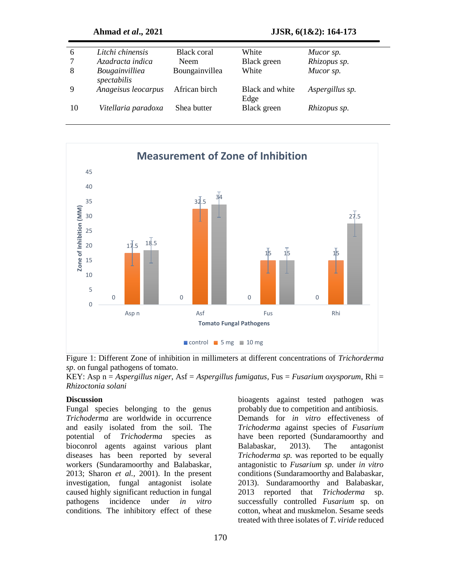| 6      | Litchi chinensis                     | Black coral    | White                   | Mucor sp.       |
|--------|--------------------------------------|----------------|-------------------------|-----------------|
| $\tau$ | Azadracta indica                     | Neem           | Black green             | Rhizopus sp.    |
| 8      | <b>Bougainvilliea</b><br>spectabilis | Boungainvillea | White                   | Mucor sp.       |
| 9      | Anageisus leocarpus                  | African birch  | Black and white<br>Edge | Aspergillus sp. |
| 10     | Vitellaria paradoxa                  | Shea butter    | Black green             | Rhizopus sp.    |



Figure 1: Different Zone of inhibition in millimeters at different concentrations of *Trichorderma sp*. on fungal pathogens of tomato.

KEY: Asp n = *Aspergillus niger*, Asf = *Aspergillus fumigatus*, Fus = *Fusarium oxysporum*, Rhi = *Rhizoctonia solani*

#### **Discussion**

Fungal species belonging to the genus *Trichoderma* are worldwide in occurrence and easily isolated from the soil. The potential of *Trichoderma* species as bioconrol agents against various plant diseases has been reported by several workers (Sundaramoorthy and Balabaskar, 2013; Sharon *et al.,* 2001). In the present investigation, fungal antagonist isolate caused highly significant reduction in fungal pathogens incidence under *in vitro*  conditions*.* The inhibitory effect of these

bioagents against tested pathogen was probably due to competition and antibiosis. Demands for *in vitro* effectiveness of *Trichoderma* against species of *Fusarium*  have been reported (Sundaramoorthy and Balabaskar, 2013). The antagonist *Trichoderma sp.* was reported to be equally antagonistic to *Fusarium sp.* under *in vitro*  conditions (Sundaramoorthy and Balabaskar, 2013). Sundaramoorthy and Balabaskar, 2013 reported that *Trichoderma* sp. successfully controlled *Fusarium* sp. on cotton, wheat and muskmelon. Sesame seeds treated with three isolates of *T*. *viride* reduced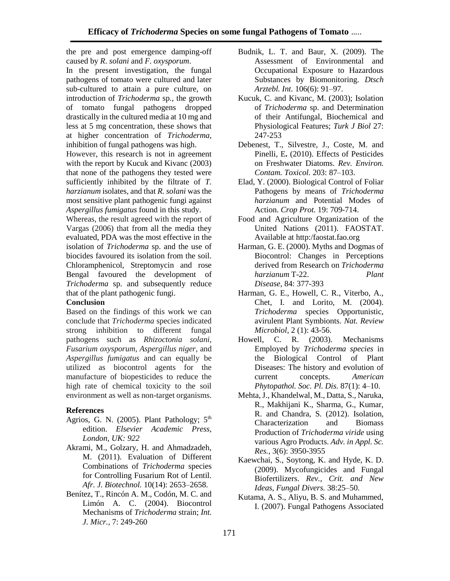the pre and post emergence damping-off caused by *R*. *solani* and *F. oxysporum*.

In the present investigation, the fungal pathogens of tomato were cultured and later sub-cultured to attain a pure culture, on introduction of *Trichoderma* sp*.*, the growth of tomato fungal pathogens dropped drastically in the cultured media at 10 mg and less at 5 mg concentration, these shows that at higher concentration of *Trichoderma*, inhibition of fungal pathogens was high.

However, this research is not in agreement with the report by Kucuk and Kivanc (2003) that none of the pathogens they tested were sufficiently inhibited by the filtrate of *T. harzianum* isolates, and that *R. solani* was the most sensitive plant pathogenic fungi against *Aspergillus fumigatus* found in this study.

Whereas, the result agreed with the report of Vargas (2006) that from all the media they evaluated, PDA was the most effective in the isolation of *Trichoderma* sp. and the use of biocides favoured its isolation from the soil. Chloramphenicol, Streptomycin and rose Bengal favoured the development of *Trichoderma* sp. and subsequently reduce that of the plant pathogenic fungi.

#### **Conclusion**

Based on the findings of this work we can conclude that *Trichoderma* species indicated strong inhibition to different fungal pathogens such as *Rhizoctonia solani, Fusarium oxysporum, Aspergillus niger*, and *Aspergillus fumigatus* and can equally be utilized as biocontrol agents for the manufacture of biopesticides to reduce the high rate of chemical toxicity to the soil environment as well as non-target organisms.

## **References**

- Agrios, G. N. (2005). Plant Pathology;  $5<sup>th</sup>$ edition. *Elsevier Academic Press, London, UK: 922*
- Akrami, M., Golzary, H. and Ahmadzadeh, M. (2011). Evaluation of Different Combinations of *Trichoderma* species for Controlling Fusarium Rot of Lentil. *Afr. J. Biotechnol.* 10(14): 2653–2658.
- Benítez, T., Rincón A. M., Codón, M. C. and Limón A. C. (2004). Biocontrol Mechanisms of *Trichoderma* strain; *Int. J. Micr.,* 7: 249-260
- Budnik, L. T. and Baur, X. (2009). The Assessment of Environmental and Occupational Exposure to Hazardous Substances by Biomonitoring. *Dtsch Arztebl. Int.* 106(6): 91–97.
- Kucuk, C. and Kivanc, M. (2003); Isolation of *Trichoderma* sp. and Determination of their Antifungal, Biochemical and Physiological Features; *Turk J Biol* 27: 247-253
- Debenest, T., Silvestre, J., Coste, M. and Pinelli, E**.** (2010). Effects of Pesticides on Freshwater Diatoms. *Rev. Environ. Contam. Toxicol.* 203: 87–103.
- Elad, Y. (2000). Biological Control of Foliar Pathogens by means of *Trichoderma harzianum* and Potential Modes of Action. *Crop Prot.* 19: 709-714.
- Food and Agriculture Organization of the United Nations (2011). FAOSTAT. Available at http:/faostat.fao.org
- Harman, G. E. (2000). Myths and Dogmas of Biocontrol: Changes in Perceptions derived from Research on *Trichoderma harzianum* T-22. *Plant Disease*, 84: 377-393
- Harman, G. E., Howell, C. R., Viterbo, A., Chet, I. and Lorito, M. (2004). *Trichoderma* species Opportunistic, avirulent Plant Symbionts. *Nat. Review Microbiol*, 2 (1): 43-56.
- Howell, C. R. (2003). Mechanisms Employed by *Trichoderma species* in the Biological Control of Plant Diseases: The history and evolution of current concepts. *American Phytopathol. Soc. Pl. Dis.* 87(1): 4–10.
- Mehta, J., Khandelwal, M., Datta, S., Naruka, R., Makhijani K., Sharma, G., Kumar, R. and Chandra, S. (2012). Isolation, Characterization and Biomass Production of *Trichoderma viride* using various Agro Products. *Adv. in Appl. Sc. Res.,* 3(6): 3950-3955
- Kaewchai, S., Soytong, K. and Hyde, K. D. (2009). Mycofungicides and Fungal Biofertilizers. *Rev., Crit. and New Ideas, Fungal Divers.* 38:25–50.
- Kutama, A. S., Aliyu, B. S. and Muhammed, I. (2007). Fungal Pathogens Associated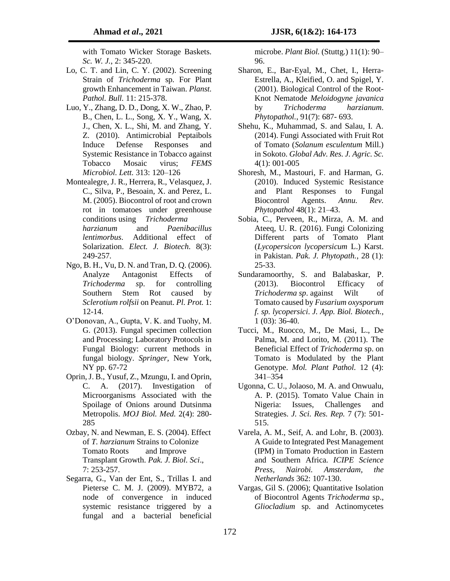with Tomato Wicker Storage Baskets. *Sc. W. J.*, 2: 345-220.

- Lo, C. T. and Lin, C. Y. (2002). Screening Strain of *Trichoderma* sp. For Plant growth Enhancement in Taiwan. *Planst. Pathol. Bull.* 11: 215-378.
- Luo, Y., Zhang, D. D., Dong, X. W., Zhao, P. B., Chen, L. L., Song, X. Y., Wang, X. J., Chen, X. L., Shi, M. and Zhang, Y. Z. (2010). Antimicrobial Peptaibols Induce Defense Responses and Systemic Resistance in Tobacco against Tobacco Mosaic virus; *FEMS Microbiol. Lett.* 313: 120–126
- Montealegre, J. R., Herrera, R., Velasquez, J. C., Silva, P., Besoain, X. and Perez, L. M. (2005). Biocontrol of root and crown rot in tomatoes under greenhouse conditions using *Trichoderma harzianum* and *Paenibacillus lentimorbus*. Additional effect of Solarization. *Elect. J. Biotech*. 8(3): 249-257*.*
- Ngo, B. H., Vu, D. N. and Tran, D. Q. (2006). Analyze Antagonist Effects of *Trichoderma s*p. for controlling Southern Stem Rot caused by *Sclerotium rolfsii* on Peanut. *Pl. Prot.* 1: 12-14.
- O'Donovan, A., Gupta, V. K. and Tuohy, M. G. (2013). Fungal specimen collection and Processing; Laboratory Protocols in Fungal Biology: current methods in fungal biology. *Springer,* New York, NY pp. 67-72
- Oprin, J. B., Yusuf, Z., Mzungu, I. and Oprin, C. A. (2017). Investigation of Microorganisms Associated with the Spoilage of Onions around Dutsinma Metropolis. *MOJ Biol. Med.* 2(4): 280- 285
- Ozbay, N. and Newman, E. S. (2004). Effect of *T. harzianum* Strains to Colonize Tomato Roots and Improve Transplant Growth. *Pak. J. Biol. Sci*., 7: 253-257.
- Segarra, G., Van der Ent, S., Trillas I. and Pieterse C. M. J. (2009). MYB72, a node of convergence in induced systemic resistance triggered by a fungal and a bacterial beneficial

microbe. *Plant Biol.* (Stuttg.) 11(1): 90– 96.

- Sharon, E., Bar-Eyal, M., Chet, I., Herra-Estrella, A., Kleified, O. and Spigel, Y. (2001). Biological Control of the Root-Knot Nematode *Meloidogyne javanica*  by *Trichoderma harzianum*. *Phytopathol.*, 91(7): 687- 693.
- Shehu, K., Muhammad, S. and Salau, I. A. (2014). Fungi Associated with Fruit Rot of Tomato (*Solanum esculentum* Mill.) in Sokoto. *Global Adv. Res. J. Agric. Sc.*  4(1): 001-005
- Shoresh, M., Mastouri, F. and Harman, G. (2010). Induced Systemic Resistance and Plant Responses to Fungal Biocontrol Agents. *Annu. Rev. Phytopathol* 48(1): 21–43.
- Sobia, C., Perveen, R., Mirza, A. M. and Ateeq, U. R. (2016). Fungi Colonizing Different parts of Tomato Plant (*Lycopersicon lycopersicum* L.) Karst. in Pakistan. *Pak. J. Phytopath.*, 28 (1): 25-33.
- Sundaramoorthy, S. and Balabaskar, P. (2013). Biocontrol Efficacy of *Trichoderma sp*. against Wilt of Tomato caused by *Fusarium oxysporum f. sp. lycopersici*. *J. App. Biol. Biotech.*, 1 (03): 36-40.
- Tucci, M., Ruocco, M., De Masi, L., De Palma, M. and Lorito, M. (2011). The Beneficial Effect of *Trichoderma* sp. on Tomato is Modulated by the Plant Genotype. *Mol. Plant Pathol.* 12 (4): 341–354
- Ugonna, C. U., Jolaoso, M. A. and Onwualu, A. P. (2015). Tomato Value Chain in Nigeria: Issues, Challenges and Strategies. *J. Sci. Res. Rep.* 7 (7): 501- 515.
- Varela, A. M., Seif, A. and Lohr, B. (2003). A Guide to Integrated Pest Management (IPM) in Tomato Production in Eastern and Southern Africa. *ICIPE Science Press, Nairobi. Amsterdam, the Netherlands* 362: 107-130.
- Vargas, Gil S. (2006); Quantitative Isolation of Biocontrol Agents *Trichoderma* sp., *Gliocladium* sp. and Actinomycetes